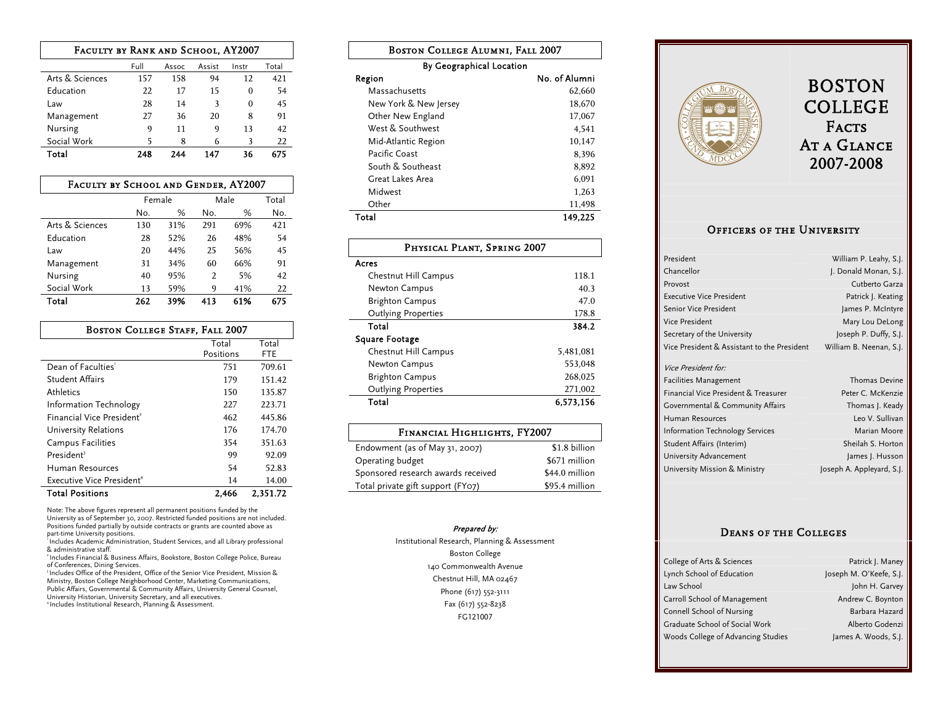| FACULTY BY RANK AND SCHOOL, AY2007        |     |     |    |    |     |  |
|-------------------------------------------|-----|-----|----|----|-----|--|
| Full<br>Total<br>Assist<br>Instr<br>Assoc |     |     |    |    |     |  |
| Arts & Sciences                           | 157 | 158 | 94 | 12 | 421 |  |
| Education                                 | 22  | 17  | 15 | 0  | 54  |  |
| Law                                       | 28  | 14  | 3  | 0  | 45  |  |
| Management                                | 27  | 36  | 20 | 8  | 91  |  |
| Nursing                                   | 9   | 11  | 9  | 13 | 42  |  |
| Social Work                               | 5   | 8   | 6  | 3  | 22  |  |
| 675<br>Total<br>248<br>147<br>36<br>744   |     |     |    |    |     |  |

| FACULTY BY SCHOOL AND GENDER, AY2007     |        |     |     |      |     |  |
|------------------------------------------|--------|-----|-----|------|-----|--|
|                                          | Female |     |     | Male |     |  |
|                                          | No.    | %   | No. | %    | No. |  |
| Arts & Sciences                          | 130    | 31% | 291 | 69%  | 421 |  |
| Education                                | 28     | 52% | 26  | 48%  | 54  |  |
| Law                                      | 20     | 44% | 25  | 56%  | 45  |  |
| Management                               | 31     | 34% | 60  | 66%  | 91  |  |
| Nursing                                  | 40     | 95% | 2   | 5%   | 42  |  |
| Social Work                              | 13     | 59% | 9   | 41%  | 22  |  |
| 39%<br>675<br>262<br>61%<br>Total<br>413 |        |     |     |      |     |  |

| <b>BOSTON COLLEGE STAFF, FALL 2007</b>      |           |            |  |  |
|---------------------------------------------|-----------|------------|--|--|
| Total<br>Total                              |           |            |  |  |
|                                             | Positions | <b>FTE</b> |  |  |
| Dean of Faculties'                          | 751       | 709.61     |  |  |
| <b>Student Affairs</b>                      | 179       | 151.42     |  |  |
| <b>Athletics</b>                            | 150       | 135.87     |  |  |
| Information Technology                      | 227       | 223.71     |  |  |
| Financial Vice President <sup>2</sup>       | 462       | 445.86     |  |  |
| University Relations                        | 176       | 174.70     |  |  |
| Campus Facilities                           | 354       | 351.63     |  |  |
| President <sup>3</sup>                      | 99        | 92.09      |  |  |
| Human Resources                             | 54        | 52.83      |  |  |
| Executive Vice President <sup>4</sup>       | 14        | 14.00      |  |  |
| <b>Total Positions</b><br>2,351.72<br>2.466 |           |            |  |  |

Note: The above figures represent all permanent positions funded by the University as of September 30, 2007. Restricted funded positions are not included. Positions funded partially by outside contracts or grants are counted above as part-time University positions.

1 Includes Academic Administration, Student Services, and all Library professional & administrative staff.

2 Includes Financial & Business Affairs, Bookstore, Boston College Police, Bureau

of Conferences, Dining Services. 3 Includes Office of the President, Office of the Senior Vice President, Mission & Ministry, Boston College Neighborhood Center, Marketing Communications,

Public Affairs, Governmental & Community Affairs, University General Counsel,<br>University Historian, University Secretary, and all executives.<br>\*Includes Institutional Research, Planning & Assessment.

| <b>BOSTON COLLEGE ALUMNI. FALL 2007</b> |               |  |  |  |
|-----------------------------------------|---------------|--|--|--|
| By Geographical Location                |               |  |  |  |
| Region                                  | No. of Alumni |  |  |  |
| Massachusetts                           | 62.660        |  |  |  |
| New York & New Jersey                   | 18,670        |  |  |  |
| Other New England                       | 17,067        |  |  |  |
| West & Southwest                        | 4.541         |  |  |  |
| Mid-Atlantic Region                     | 10,147        |  |  |  |
| Pacific Coast                           | 8,396         |  |  |  |
| South & Southeast                       | 8,892         |  |  |  |
| Great Lakes Area                        | 6.091         |  |  |  |
| Midwest                                 | 1,263         |  |  |  |
| Other                                   | 11,498        |  |  |  |
| 149,225<br>Total                        |               |  |  |  |

| PHYSICAL PLANT, SPRING 2007 |           |  |  |
|-----------------------------|-----------|--|--|
| Acres                       |           |  |  |
| Chestnut Hill Campus        | 118.1     |  |  |
| <b>Newton Campus</b>        | 40.3      |  |  |
| <b>Brighton Campus</b>      | 47.0      |  |  |
| <b>Outlying Properties</b>  | 178.8     |  |  |
| Total                       | 384.2     |  |  |
| <b>Square Footage</b>       |           |  |  |
| Chestnut Hill Campus        | 5.481.081 |  |  |
| <b>Newton Campus</b>        | 553.048   |  |  |
| <b>Brighton Campus</b>      | 268,025   |  |  |
| <b>Outlying Properties</b>  | 271,002   |  |  |
| Total                       | 6,573,156 |  |  |

# Financial Highlights, FY2007

| Endowment (as of May 31, 2007)     | \$1.8 billion  |
|------------------------------------|----------------|
| Operating budget                   | \$671 million  |
| Sponsored research awards received | \$44.0 million |
| Total private gift support (FY07)  | \$95.4 million |

### Prepared by:

Institutional Research, Planning & Assessment Boston College 140 Commonwealth Avenue Chestnut Hill, MA 02467 Phone (617) 552-3111 Fax (617) 552-8238 FG121007



## BOSTON COLLEGE **FACTS** At a Glance 2007-2008

## Officers of the University

| President                                   | William P. Leahy, S.J.    |
|---------------------------------------------|---------------------------|
| Chancellor                                  | J. Donald Monan, S.J.     |
| Provost                                     | Cutberto Garza            |
| <b>Executive Vice President</b>             | Patrick J. Keating        |
| <b>Senior Vice President</b>                | James P. McIntyre         |
| <b>Vice President</b>                       | Mary Lou DeLong           |
| Secretary of the University                 | Joseph P. Duffy, S.J.     |
| Vice President & Assistant to the President | William B. Neenan, S.J.   |
| Vice President for:                         |                           |
| <b>Facilities Management</b>                | <b>Thomas Devine</b>      |
| Financial Vice President & Treasurer        | Peter C. McKenzie         |
| Governmental & Community Affairs            | Thomas J. Keady           |
| Human Resources                             | Leo V. Sullivan           |
| <b>Information Technology Services</b>      | Marian Moore              |
| Student Affairs (Interim)                   | Sheilah S. Horton         |
| University Advancement                      | James J. Husson           |
| University Mission & Ministry               | Joseph A. Appleyard, S.J. |

### Deans of the Colleges

| College of Arts & Sciences         | Patrick J. Maney        |
|------------------------------------|-------------------------|
|                                    |                         |
| Lynch School of Education          | Joseph M. O'Keefe, S.J. |
| Law School                         | John H. Garvey          |
| Carroll School of Management       | Andrew C. Boynton       |
| <b>Connell School of Nursing</b>   | Barbara Hazard          |
| Graduate School of Social Work     | Alberto Godenzi         |
| Woods College of Advancing Studies | James A. Woods, S.J.    |
|                                    |                         |